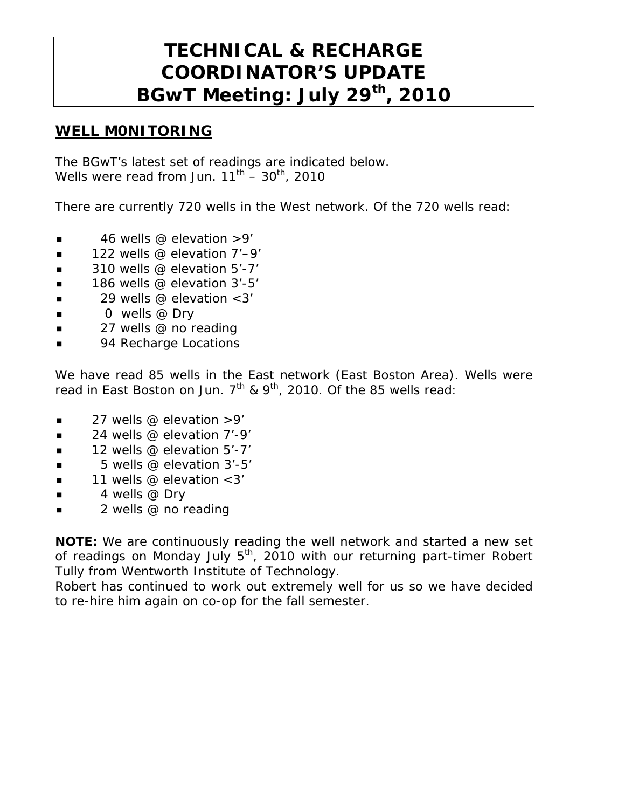# **TECHNICAL & RECHARGE COORDINATOR'S UPDATE BGwT Meeting: July 29th, 2010**

#### **WELL M0NITORING**

The BGwT's latest set of readings are indicated below. Wells were read from Jun.  $11^{th}$  –  $30^{th}$ , 2010

There are currently 720 wells in the West network. Of the 720 wells read:

- $\blacksquare$  46 wells @ elevation >9'
- $\blacksquare$  122 wells @ elevation 7'–9'
- $\blacksquare$  310 wells @ elevation 5'-7'
- $\blacksquare$  186 wells @ elevation 3'-5'
- $\blacksquare$  29 wells @ elevation < 3'
- $\Box$  0 wells @ Dry
- $\blacksquare$  27 wells @ no reading
- 94 Recharge Locations

We have read 85 wells in the East network (East Boston Area). Wells were read in East Boston on Jun.  $7<sup>th</sup>$  & 9<sup>th</sup>, 2010. Of the 85 wells read:

- $\blacksquare$  27 wells @ elevation >9'
- $\blacksquare$  24 wells @ elevation 7'-9'
- 12 wells @ elevation 5'-7'
- $\blacksquare$  5 wells @ elevation 3'-5'
- $\blacksquare$  11 wells @ elevation < 3'
- $\blacksquare$  4 wells @ Dry
- 2 wells @ no reading

**NOTE:** We are continuously reading the well network and started a new set of readings on Monday July  $5<sup>th</sup>$ , 2010 with our returning part-timer Robert Tully from Wentworth Institute of Technology.

Robert has continued to work out extremely well for us so we have decided to re-hire him again on co-op for the fall semester.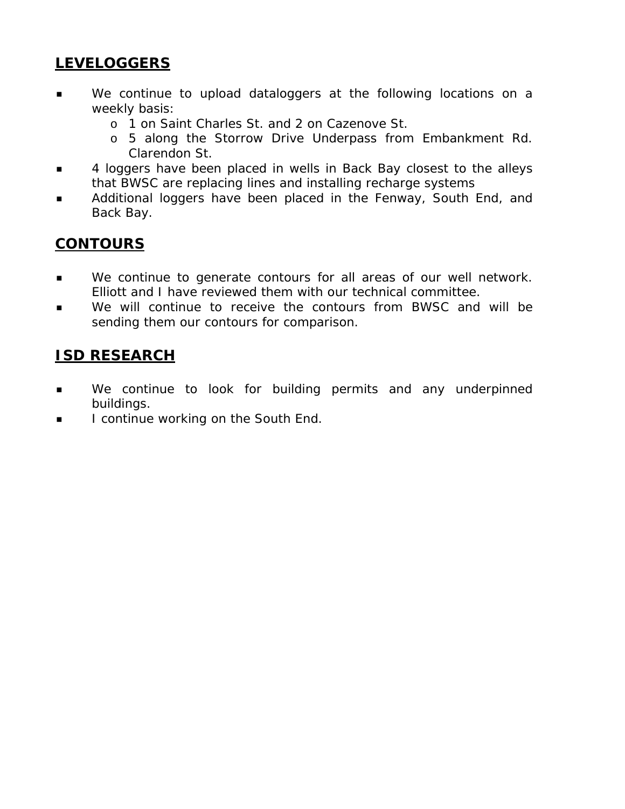## **LEVELOGGERS**

- We continue to upload dataloggers at the following locations on a weekly basis:
	- o 1 on Saint Charles St. and 2 on Cazenove St.
	- o 5 along the Storrow Drive Underpass from Embankment Rd. Clarendon St.
- **4** loggers have been placed in wells in Back Bay closest to the alleys that BWSC are replacing lines and installing recharge systems
- Additional loggers have been placed in the Fenway, South End, and Back Bay.

## **CONTOURS**

- **We continue to generate contours for all areas of our well network.** Elliott and I have reviewed them with our technical committee.
- We will continue to receive the contours from BWSC and will be sending them our contours for comparison.

## **ISD RESEARCH**

- **We continue to look for building permits and any underpinned** buildings.
- I continue working on the South End.